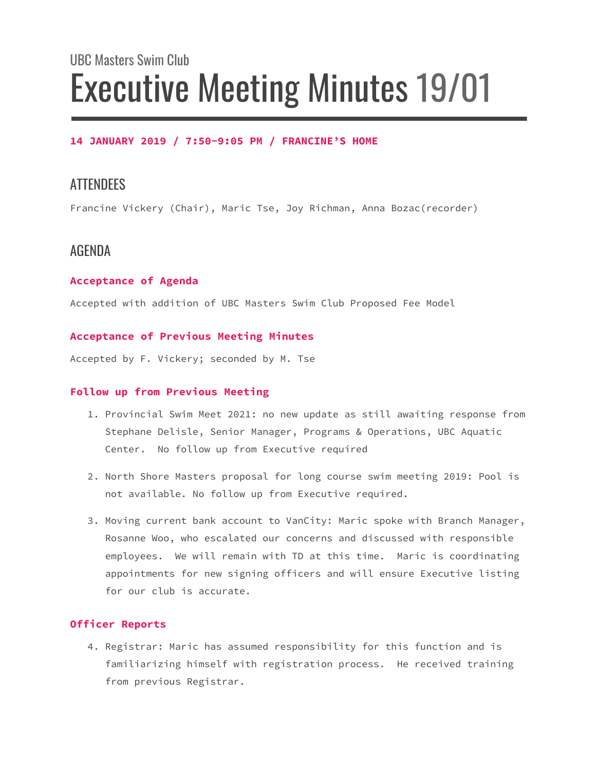# UBC Masters Swim Club Executive Meeting Minutes 19/01

#### **14 JANUARY 2019 / 7:50-9:05 PM / FRANCINE'S HOME**

## **ATTENDEES**

Francine Vickery (Chair), Maric Tse, Joy Richman, Anna Bozac(recorder)

## AGENDA

#### **Acceptance of Agenda**

Accepted with addition of UBC Masters Swim Club Proposed Fee Model

#### **Acceptance of Previous Meeting Minutes**

Accepted by F. Vickery; seconded by M. Tse

#### **Follow up from Previous Meeting**

- 1. Provincial Swim Meet 2021: no new update as still awaiting response from Stephane Delisle, Senior Manager, Programs & Operations, UBC Aquatic Center. No follow up from Executive required
- 2. North Shore Masters proposal for long course swim meeting 2019: Pool is not available. No follow up from Executive required.
- 3. Moving current bank account to VanCity: Maric spoke with Branch Manager, Rosanne Woo, who escalated our concerns and discussed with responsible employees. We will remain with TD at this time. Maric is coordinating appointments for new signing officers and will ensure Executive listing for our club is accurate.

#### **Officer Reports**

4. Registrar: Maric has assumed responsibility for this function and is familiarizing himself with registration process. He received training from previous Registrar.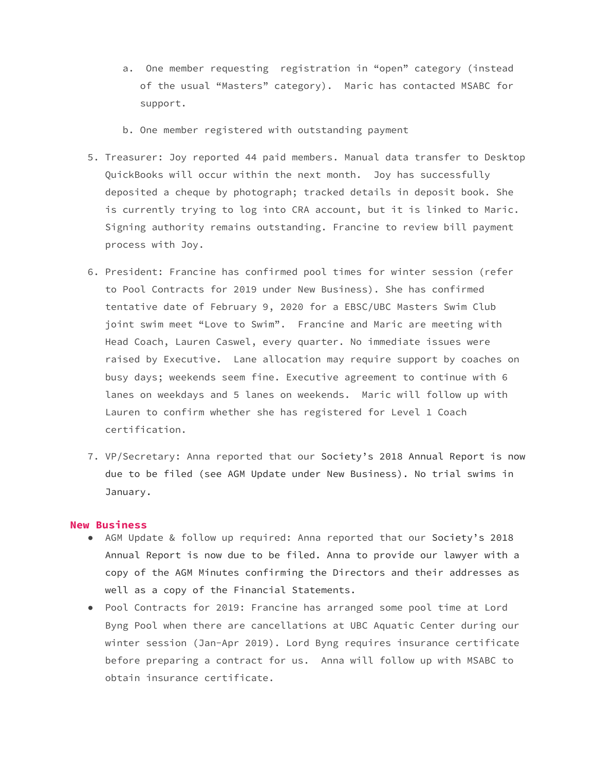- a. One member requesting registration in "open" category (instead of the usual "Masters" category). Maric has contacted MSABC for support.
- b. One member registered with outstanding payment
- 5. Treasurer: Joy reported 44 paid members. Manual data transfer to Desktop QuickBooks will occur within the next month. Joy has successfully deposited a cheque by photograph; tracked details in deposit book. She is currently trying to log into CRA account, but it is linked to Maric. Signing authority remains outstanding. Francine to review bill payment process with Joy.
- 6. President: Francine has confirmed pool times for winter session (refer to Pool Contracts for 2019 under New Business). She has confirmed tentative date of February 9, 2020 for a EBSC/UBC Masters Swim Club joint swim meet "Love to Swim". Francine and Maric are meeting with Head Coach, Lauren Caswel, every quarter. No immediate issues were raised by Executive. Lane allocation may require support by coaches on busy days; weekends seem fine. Executive agreement to continue with 6 lanes on weekdays and 5 lanes on weekends. Maric will follow up with Lauren to confirm whether she has registered for Level 1 Coach certification.
- 7. VP/Secretary: Anna reported that our Society's 2018 Annual Report is now due to be filed (see AGM Update under New Business). No trial swims in January.

#### **New Business**

- AGM Update & follow up required: Anna reported that our Society's 2018 Annual Report is now due to be filed. Anna to provide our lawyer with a copy of the AGM Minutes confirming the Directors and their addresses as well as a copy of the Financial Statements.
- Pool Contracts for 2019: Francine has arranged some pool time at Lord Byng Pool when there are cancellations at UBC Aquatic Center during our winter session (Jan-Apr 2019). Lord Byng requires insurance certificate before preparing a contract for us. Anna will follow up with MSABC to obtain insurance certificate.